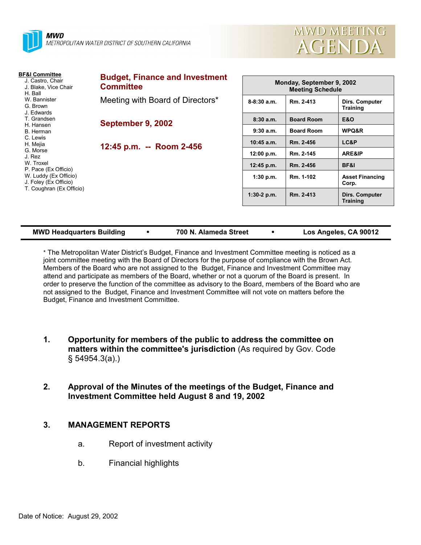



| <b>BF&amp;I Committee</b><br>J. Castro, Chair<br>J. Blake, Vice Chair<br>H. Ball<br>W. Bannister<br>G. Brown<br>J. Edwards<br>T. Grandsen<br>H. Hansen<br>B. Herman<br>C. Lewis<br>H. Mejia<br>G. Morse<br>J. Rez<br>W. Troxel<br>P. Pace (Ex Officio)<br>W. Luddy (Ex Officio)<br>J. Foley (Ex Officio) | <b>Budget, Finance and Investment</b><br><b>Committee</b> |               | Monday, September 9, 2002<br><b>Meeting Schedule</b> |                                   |  |
|----------------------------------------------------------------------------------------------------------------------------------------------------------------------------------------------------------------------------------------------------------------------------------------------------------|-----------------------------------------------------------|---------------|------------------------------------------------------|-----------------------------------|--|
|                                                                                                                                                                                                                                                                                                          | Meeting with Board of Directors*                          | $8-8:30$ a.m. | Rm. 2-413                                            | Dirs. Computer<br><b>Training</b> |  |
|                                                                                                                                                                                                                                                                                                          | September 9, 2002<br>12:45 p.m. -- Room 2-456             | 8:30a.m.      | <b>Board Room</b>                                    | <b>E&amp;O</b>                    |  |
|                                                                                                                                                                                                                                                                                                          |                                                           | 9:30a.m.      | <b>Board Room</b>                                    | WPQ&R                             |  |
|                                                                                                                                                                                                                                                                                                          |                                                           | $10:45$ a.m.  | Rm. 2-456                                            | LC&P                              |  |
|                                                                                                                                                                                                                                                                                                          |                                                           | 12:00 p.m.    | Rm. 2-145                                            | <b>ARE&amp;IP</b>                 |  |
|                                                                                                                                                                                                                                                                                                          |                                                           | 12:45 p.m.    | Rm. 2-456                                            | <b>BF&amp;I</b>                   |  |
|                                                                                                                                                                                                                                                                                                          |                                                           | $1:30$ p.m.   | Rm. 1-102                                            | <b>Asset Financing</b><br>Corp.   |  |
| T. Coughran (Ex Officio)                                                                                                                                                                                                                                                                                 |                                                           | $1:30-2$ p.m. | Rm. 2-413                                            | Dirs. Computer<br><b>Training</b> |  |

| <b>MWD Headquarters Building</b> | 700 N. Alameda Street | Los Angeles, CA 90012 |
|----------------------------------|-----------------------|-----------------------|
|                                  |                       |                       |

\* The Metropolitan Water Districtís Budget, Finance and Investment Committee meeting is noticed as a joint committee meeting with the Board of Directors for the purpose of compliance with the Brown Act. Members of the Board who are not assigned to the Budget, Finance and Investment Committee may attend and participate as members of the Board, whether or not a quorum of the Board is present. In order to preserve the function of the committee as advisory to the Board, members of the Board who are not assigned to the Budget, Finance and Investment Committee will not vote on matters before the Budget, Finance and Investment Committee.

- **1. Opportunity for members of the public to address the committee on matters within the committee's jurisdiction** (As required by Gov. Code ß 54954.3(a).)
- **2. Approval of the Minutes of the meetings of the Budget, Finance and Investment Committee held August 8 and 19, 2002**

# **3. MANAGEMENT REPORTS**

- a. Report of investment activity
- b. Financial highlights